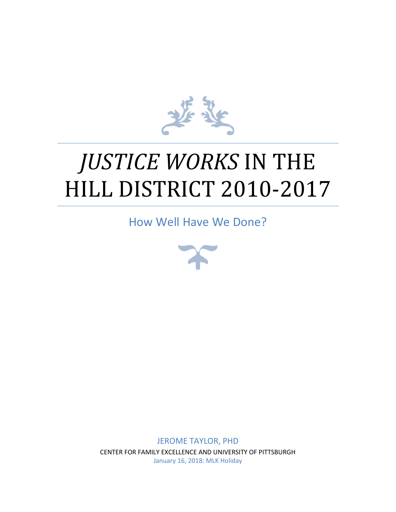

# *JUSTICE WORKS* IN THE HILL DISTRICT 2010-2017

How Well Have We Done?



JEROME TAYLOR, PHD CENTER FOR FAMILY EXCELLENCE AND UNIVERSITY OF PITTSBURGH January 16, 2018: MLK Holiday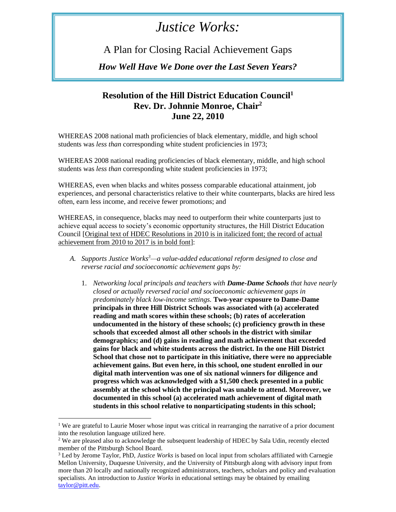## *Justice Works:*

A Plan for Closing Racial Achievement Gaps

*How Well Have We Done over the Last Seven Years?*

#### **Resolution of the Hill District Education Council<sup>1</sup> Rev. Dr. Johnnie Monroe, Chair<sup>2</sup> June 22, 2010**

WHEREAS 2008 national math proficiencies of black elementary, middle, and high school students was *less than* corresponding white student proficiencies in 1973;

WHEREAS 2008 national reading proficiencies of black elementary, middle, and high school students was *less than* corresponding white student proficiencies in 1973;

WHEREAS, even when blacks and whites possess comparable educational attainment, job experiences, and personal characteristics relative to their white counterparts, blacks are hired less often, earn less income, and receive fewer promotions; and

WHEREAS, in consequence, blacks may need to outperform their white counterparts just to achieve equal access to society's economic opportunity structures, the Hill District Education Council [Original text of HDEC Resolutions in 2010 is in italicized font; the record of actual achievement from 2010 to 2017 is in bold font]:

- *A. Supports Justice Works<sup>3</sup>—a value-added educational reform designed to close and reverse racial and socioeconomic achievement gaps by:*
	- 1. *Networking local principals and teachers with Dame-Dame Schools that have nearly closed or actually reversed racial and socioeconomic achievement gaps in predominately black low-income settings.* **Two-year** e**xposure to Dame-Dame principals in three Hill District Schools was associated with (a) accelerated reading and math scores within these schools; (b) rates of acceleration undocumented in the history of these schools; (c) proficiency growth in these schools that exceeded almost all other schools in the district with similar demographics; and (d) gains in reading and math achievement that exceeded gains for black and white students across the district. In the one Hill District School that chose not to participate in this initiative, there were no appreciable achievement gains. But even here, in this school, one student enrolled in our digital math intervention was one of six national winners for diligence and progress which was acknowledged with a \$1,500 check presented in a public assembly at the school which the principal was unable to attend. Moreover, we documented in this school (a) accelerated math achievement of digital math students in this school relative to nonparticipating students in this school;**

<sup>&</sup>lt;sup>1</sup> We are grateful to Laurie Moser whose input was critical in rearranging the narrative of a prior document into the resolution language utilized here.

<sup>&</sup>lt;sup>2</sup> We are pleased also to acknowledge the subsequent leadership of HDEC by Sala Udin, recently elected member of the Pittsburgh School Board.

<sup>3</sup> Led by Jerome Taylor, PhD, *Justice Works* is based on local input from scholars affiliated with Carnegie Mellon University, Duquesne University, and the University of Pittsburgh along with advisory input from more than 20 locally and nationally recognized administrators, teachers, scholars and policy and evaluation specialists. An introduction to *Justice Works* in educational settings may be obtained by emailing [taylor@pitt.edu.](mailto:taylor@pitt.edu)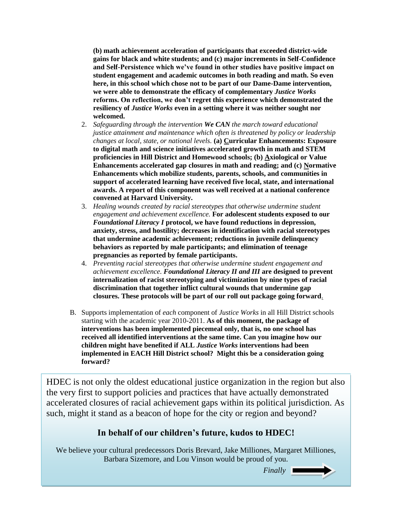**(b) math achievement acceleration of participants that exceeded district-wide gains for black and white students; and (c) major increments in Self-Confidence and Self-Persistence which we've found in other studies have positive impact on student engagement and academic outcomes in both reading and math. So even here, in this school which chose not to be part of our Dame-Dame intervention, we were able to demonstrate the efficacy of complementary** *Justice Works* **reforms. On reflection, we don't regret this experience which demonstrated the resiliency of** *Justice Works* **even in a setting where it was neither sought nor welcomed.** 

- 2. *Safeguarding through the intervention We CAN the march toward educational justice attainment and maintenance which often is threatened by policy or leadership changes at local, state, or national levels.* **(a) Curricular Enhancements: Exposure to digital math and science initiatives accelerated growth in math and STEM proficiencies in Hill District and Homewood schools; (b) Axiological or Value Enhancements accelerated gap closures in math and reading; and (c) Normative Enhancements which mobilize students, parents, schools, and communities in support of accelerated learning have received five local, state, and international awards. A report of this component was well received at a national conference convened at Harvard University.**
- 3. *Healing wounds created by racial stereotypes that otherwise undermine student engagement and achievement excellence.* **For adolescent students exposed to our**  *Foundational Literacy I* **protocol, we have found reductions in depression, anxiety, stress, and hostility; decreases in identification with racial stereotypes that undermine academic achievement; reductions in juvenile delinquency behaviors as reported by male participants; and elimination of teenage pregnancies as reported by female participants.**
- 4. *Preventing racial stereotypes that otherwise undermine student engagement and achievement excellence. Foundational Literacy II and III* **are designed to prevent internalization of racist stereotyping and victimization by nine types of racial discrimination that together inflict cultural wounds that undermine gap closures. These protocols will be part of our roll out package going forward**.
- B. Supports implementation of *each* component of *Justice Works* in all Hill District schools starting with the academic year 2010-2011. **As of this moment, the package of interventions has been implemented piecemeal only, that is, no one school has received all identified interventions at the same time. Can you imagine how our children might have benefited if ALL** *Justice Works* **interventions had been implemented in EACH Hill District school? Might this be a consideration going forward?**

HDEC is not only the oldest educational justice organization in the region but also the very first to support policies and practices that have actually demonstrated accelerated closures of racial achievement gaps within its political jurisdiction. As such, might it stand as a beacon of hope for the city or region and beyond?

#### **In behalf of our children's future, kudos to HDEC!**

We believe your cultural predecessors Doris Brevard, Jake Milliones, Margaret Milliones, Barbara Sizemore, and Lou Vinson would be proud of you.

*Finally Finally*